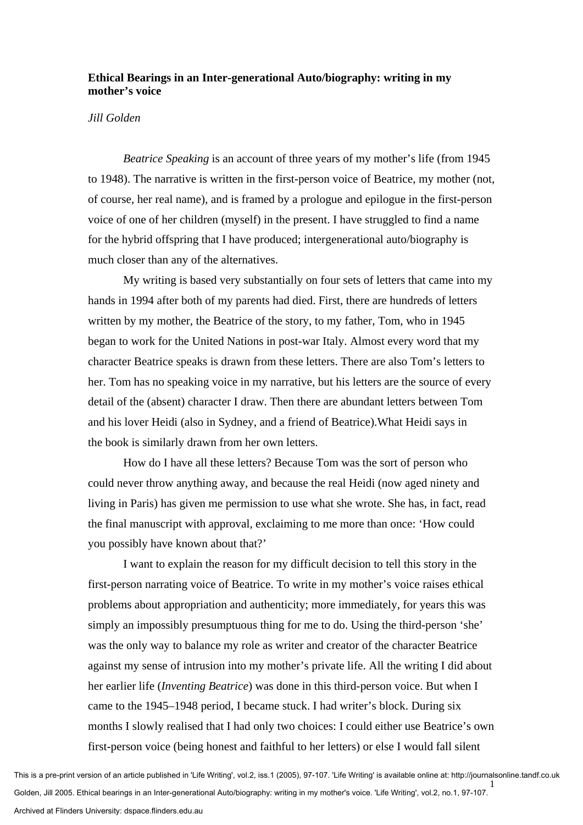## **Ethical Bearings in an Inter-generational Auto/biography: writing in my mother's voice**

## *Jill Golden*

*Beatrice Speaking* is an account of three years of my mother's life (from 1945 to 1948). The narrative is written in the first-person voice of Beatrice, my mother (not, of course, her real name), and is framed by a prologue and epilogue in the first-person voice of one of her children (myself) in the present. I have struggled to find a name for the hybrid offspring that I have produced; intergenerational auto/biography is much closer than any of the alternatives.

My writing is based very substantially on four sets of letters that came into my hands in 1994 after both of my parents had died. First, there are hundreds of letters written by my mother, the Beatrice of the story, to my father, Tom, who in 1945 began to work for the United Nations in post-war Italy. Almost every word that my character Beatrice speaks is drawn from these letters. There are also Tom's letters to her. Tom has no speaking voice in my narrative, but his letters are the source of every detail of the (absent) character I draw. Then there are abundant letters between Tom and his lover Heidi (also in Sydney, and a friend of Beatrice).What Heidi says in the book is similarly drawn from her own letters.

How do I have all these letters? Because Tom was the sort of person who could never throw anything away, and because the real Heidi (now aged ninety and living in Paris) has given me permission to use what she wrote. She has, in fact, read the final manuscript with approval, exclaiming to me more than once: 'How could you possibly have known about that?'

I want to explain the reason for my difficult decision to tell this story in the first-person narrating voice of Beatrice. To write in my mother's voice raises ethical problems about appropriation and authenticity; more immediately, for years this was simply an impossibly presumptuous thing for me to do. Using the third-person 'she' was the only way to balance my role as writer and creator of the character Beatrice against my sense of intrusion into my mother's private life. All the writing I did about her earlier life (*Inventing Beatrice*) was done in this third-person voice. But when I came to the 1945–1948 period, I became stuck. I had writer's block. During six months I slowly realised that I had only two choices: I could either use Beatrice's own first-person voice (being honest and faithful to her letters) or else I would fall silent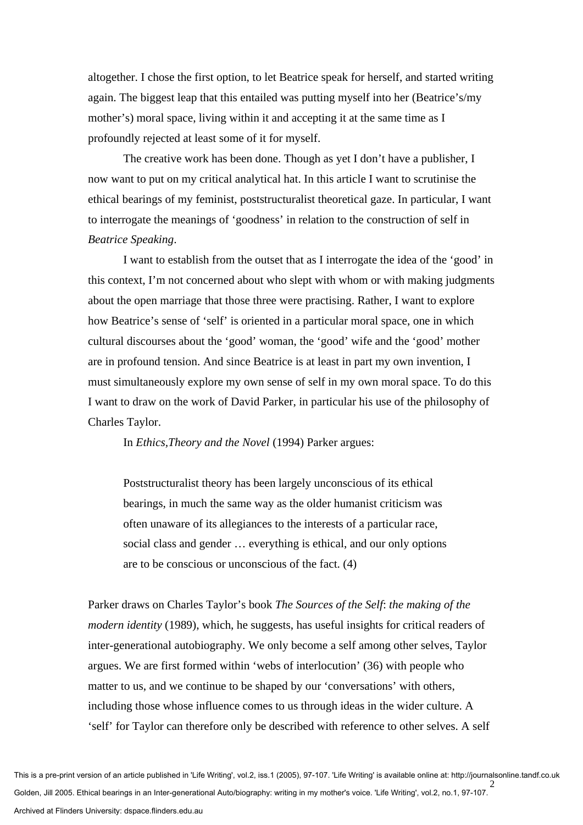altogether. I chose the first option, to let Beatrice speak for herself, and started writing again. The biggest leap that this entailed was putting myself into her (Beatrice's/my mother's) moral space, living within it and accepting it at the same time as I profoundly rejected at least some of it for myself.

The creative work has been done. Though as yet I don't have a publisher, I now want to put on my critical analytical hat. In this article I want to scrutinise the ethical bearings of my feminist, poststructuralist theoretical gaze. In particular, I want to interrogate the meanings of 'goodness' in relation to the construction of self in *Beatrice Speaking*.

I want to establish from the outset that as I interrogate the idea of the 'good' in this context, I'm not concerned about who slept with whom or with making judgments about the open marriage that those three were practising. Rather, I want to explore how Beatrice's sense of 'self' is oriented in a particular moral space, one in which cultural discourses about the 'good' woman, the 'good' wife and the 'good' mother are in profound tension. And since Beatrice is at least in part my own invention, I must simultaneously explore my own sense of self in my own moral space. To do this I want to draw on the work of David Parker, in particular his use of the philosophy of Charles Taylor.

In *Ethics,Theory and the Novel* (1994) Parker argues:

Poststructuralist theory has been largely unconscious of its ethical bearings, in much the same way as the older humanist criticism was often unaware of its allegiances to the interests of a particular race, social class and gender … everything is ethical, and our only options are to be conscious or unconscious of the fact. (4)

Parker draws on Charles Taylor's book *The Sources of the Self*: *the making of the modern identity* (1989), which, he suggests, has useful insights for critical readers of inter-generational autobiography. We only become a self among other selves, Taylor argues. We are first formed within 'webs of interlocution' (36) with people who matter to us, and we continue to be shaped by our 'conversations' with others, including those whose influence comes to us through ideas in the wider culture. A 'self' for Taylor can therefore only be described with reference to other selves. A self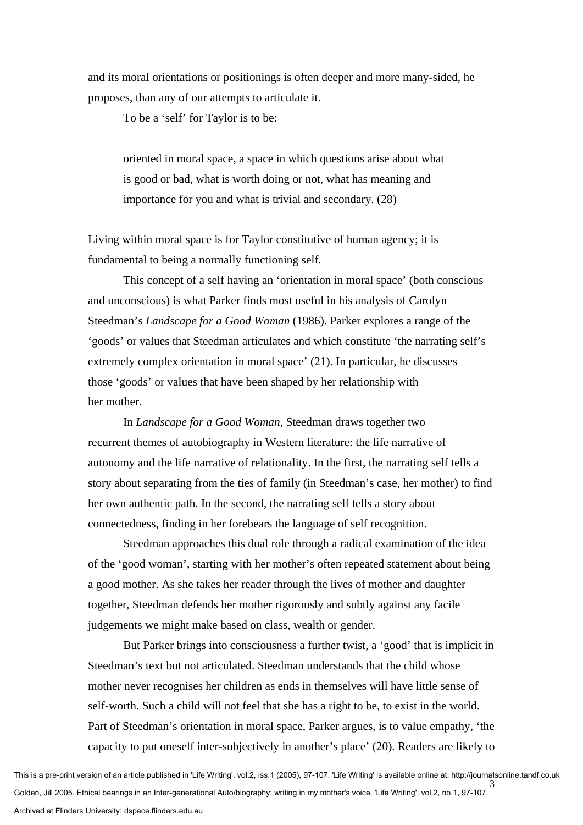and its moral orientations or positionings is often deeper and more many-sided, he proposes, than any of our attempts to articulate it.

To be a 'self' for Taylor is to be:

oriented in moral space, a space in which questions arise about what is good or bad, what is worth doing or not, what has meaning and importance for you and what is trivial and secondary. (28)

Living within moral space is for Taylor constitutive of human agency; it is fundamental to being a normally functioning self.

This concept of a self having an 'orientation in moral space' (both conscious and unconscious) is what Parker finds most useful in his analysis of Carolyn Steedman's *Landscape for a Good Woman* (1986). Parker explores a range of the 'goods' or values that Steedman articulates and which constitute 'the narrating self's extremely complex orientation in moral space' (21). In particular, he discusses those 'goods' or values that have been shaped by her relationship with her mother.

In *Landscape for a Good Woman*, Steedman draws together two recurrent themes of autobiography in Western literature: the life narrative of autonomy and the life narrative of relationality. In the first, the narrating self tells a story about separating from the ties of family (in Steedman's case, her mother) to find her own authentic path. In the second, the narrating self tells a story about connectedness, finding in her forebears the language of self recognition.

Steedman approaches this dual role through a radical examination of the idea of the 'good woman', starting with her mother's often repeated statement about being a good mother. As she takes her reader through the lives of mother and daughter together, Steedman defends her mother rigorously and subtly against any facile judgements we might make based on class, wealth or gender.

But Parker brings into consciousness a further twist, a 'good' that is implicit in Steedman's text but not articulated. Steedman understands that the child whose mother never recognises her children as ends in themselves will have little sense of self-worth. Such a child will not feel that she has a right to be, to exist in the world. Part of Steedman's orientation in moral space, Parker argues, is to value empathy, 'the capacity to put oneself inter-subjectively in another's place' (20). Readers are likely to

3 This is a pre-print version of an article published in 'Life Writing', vol.2, iss.1 (2005), 97-107. 'Life Writing' is available online at: http://journalsonline.tandf.co.uk Golden, Jill 2005. Ethical bearings in an Inter-generational Auto/biography: writing in my mother's voice. 'Life Writing', vol.2, no.1, 97-107.

Archived at Flinders University: dspace.flinders.edu.au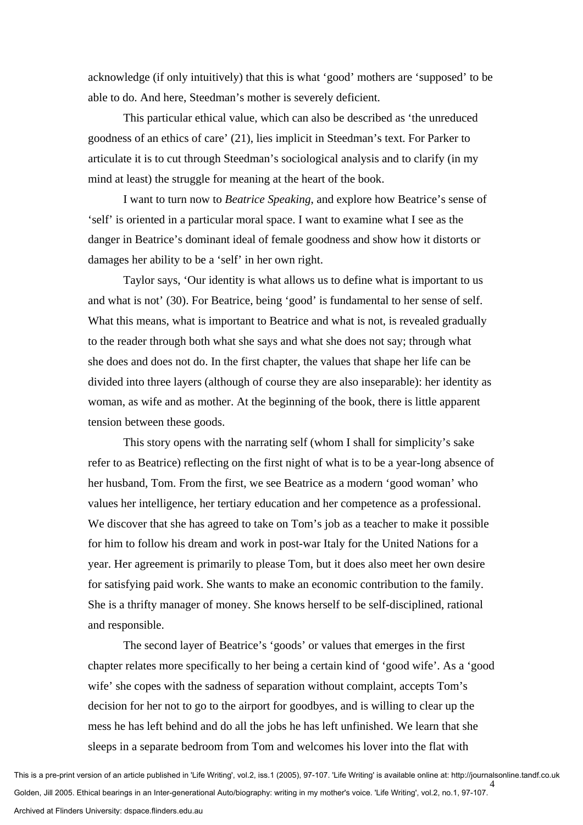acknowledge (if only intuitively) that this is what 'good' mothers are 'supposed' to be able to do. And here, Steedman's mother is severely deficient.

This particular ethical value, which can also be described as 'the unreduced goodness of an ethics of care' (21), lies implicit in Steedman's text. For Parker to articulate it is to cut through Steedman's sociological analysis and to clarify (in my mind at least) the struggle for meaning at the heart of the book.

I want to turn now to *Beatrice Speaking*, and explore how Beatrice's sense of 'self' is oriented in a particular moral space. I want to examine what I see as the danger in Beatrice's dominant ideal of female goodness and show how it distorts or damages her ability to be a 'self' in her own right.

Taylor says, 'Our identity is what allows us to define what is important to us and what is not' (30). For Beatrice, being 'good' is fundamental to her sense of self. What this means, what is important to Beatrice and what is not, is revealed gradually to the reader through both what she says and what she does not say; through what she does and does not do. In the first chapter, the values that shape her life can be divided into three layers (although of course they are also inseparable): her identity as woman, as wife and as mother. At the beginning of the book, there is little apparent tension between these goods.

This story opens with the narrating self (whom I shall for simplicity's sake refer to as Beatrice) reflecting on the first night of what is to be a year-long absence of her husband, Tom. From the first, we see Beatrice as a modern 'good woman' who values her intelligence, her tertiary education and her competence as a professional. We discover that she has agreed to take on Tom's job as a teacher to make it possible for him to follow his dream and work in post-war Italy for the United Nations for a year. Her agreement is primarily to please Tom, but it does also meet her own desire for satisfying paid work. She wants to make an economic contribution to the family. She is a thrifty manager of money. She knows herself to be self-disciplined, rational and responsible.

The second layer of Beatrice's 'goods' or values that emerges in the first chapter relates more specifically to her being a certain kind of 'good wife'. As a 'good wife' she copes with the sadness of separation without complaint, accepts Tom's decision for her not to go to the airport for goodbyes, and is willing to clear up the mess he has left behind and do all the jobs he has left unfinished. We learn that she sleeps in a separate bedroom from Tom and welcomes his lover into the flat with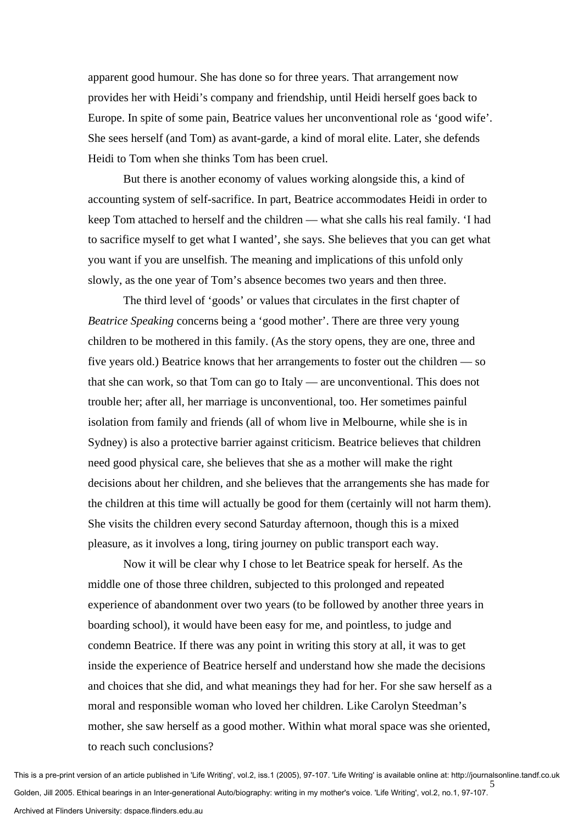apparent good humour. She has done so for three years. That arrangement now provides her with Heidi's company and friendship, until Heidi herself goes back to Europe. In spite of some pain, Beatrice values her unconventional role as 'good wife'. She sees herself (and Tom) as avant-garde, a kind of moral elite. Later, she defends Heidi to Tom when she thinks Tom has been cruel.

But there is another economy of values working alongside this, a kind of accounting system of self-sacrifice. In part, Beatrice accommodates Heidi in order to keep Tom attached to herself and the children — what she calls his real family. 'I had to sacrifice myself to get what I wanted', she says. She believes that you can get what you want if you are unselfish. The meaning and implications of this unfold only slowly, as the one year of Tom's absence becomes two years and then three.

The third level of 'goods' or values that circulates in the first chapter of *Beatrice Speaking* concerns being a 'good mother'. There are three very young children to be mothered in this family. (As the story opens, they are one, three and five years old.) Beatrice knows that her arrangements to foster out the children — so that she can work, so that Tom can go to Italy — are unconventional. This does not trouble her; after all, her marriage is unconventional, too. Her sometimes painful isolation from family and friends (all of whom live in Melbourne, while she is in Sydney) is also a protective barrier against criticism. Beatrice believes that children need good physical care, she believes that she as a mother will make the right decisions about her children, and she believes that the arrangements she has made for the children at this time will actually be good for them (certainly will not harm them). She visits the children every second Saturday afternoon, though this is a mixed pleasure, as it involves a long, tiring journey on public transport each way.

Now it will be clear why I chose to let Beatrice speak for herself. As the middle one of those three children, subjected to this prolonged and repeated experience of abandonment over two years (to be followed by another three years in boarding school), it would have been easy for me, and pointless, to judge and condemn Beatrice. If there was any point in writing this story at all, it was to get inside the experience of Beatrice herself and understand how she made the decisions and choices that she did, and what meanings they had for her. For she saw herself as a moral and responsible woman who loved her children. Like Carolyn Steedman's mother, she saw herself as a good mother. Within what moral space was she oriented, to reach such conclusions?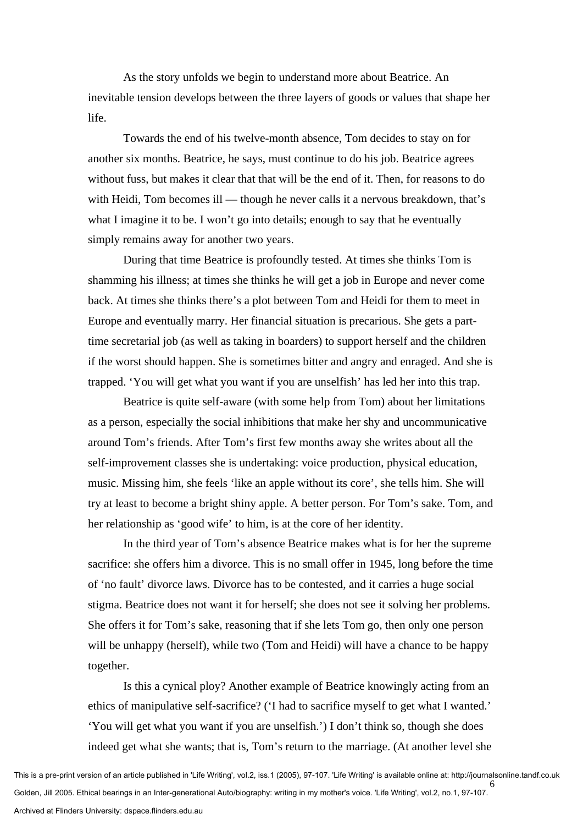As the story unfolds we begin to understand more about Beatrice. An inevitable tension develops between the three layers of goods or values that shape her life.

Towards the end of his twelve-month absence, Tom decides to stay on for another six months. Beatrice, he says, must continue to do his job. Beatrice agrees without fuss, but makes it clear that that will be the end of it. Then, for reasons to do with Heidi, Tom becomes ill — though he never calls it a nervous breakdown, that's what I imagine it to be. I won't go into details; enough to say that he eventually simply remains away for another two years.

During that time Beatrice is profoundly tested. At times she thinks Tom is shamming his illness; at times she thinks he will get a job in Europe and never come back. At times she thinks there's a plot between Tom and Heidi for them to meet in Europe and eventually marry. Her financial situation is precarious. She gets a parttime secretarial job (as well as taking in boarders) to support herself and the children if the worst should happen. She is sometimes bitter and angry and enraged. And she is trapped. 'You will get what you want if you are unselfish' has led her into this trap.

Beatrice is quite self-aware (with some help from Tom) about her limitations as a person, especially the social inhibitions that make her shy and uncommunicative around Tom's friends. After Tom's first few months away she writes about all the self-improvement classes she is undertaking: voice production, physical education, music. Missing him, she feels 'like an apple without its core', she tells him. She will try at least to become a bright shiny apple. A better person. For Tom's sake. Tom, and her relationship as 'good wife' to him, is at the core of her identity.

In the third year of Tom's absence Beatrice makes what is for her the supreme sacrifice: she offers him a divorce. This is no small offer in 1945, long before the time of 'no fault' divorce laws. Divorce has to be contested, and it carries a huge social stigma. Beatrice does not want it for herself; she does not see it solving her problems. She offers it for Tom's sake, reasoning that if she lets Tom go, then only one person will be unhappy (herself), while two (Tom and Heidi) will have a chance to be happy together.

Is this a cynical ploy? Another example of Beatrice knowingly acting from an ethics of manipulative self-sacrifice? ('I had to sacrifice myself to get what I wanted.' 'You will get what you want if you are unselfish.') I don't think so, though she does indeed get what she wants; that is, Tom's return to the marriage. (At another level she

6 This is a pre-print version of an article published in 'Life Writing', vol.2, iss.1 (2005), 97-107. 'Life Writing' is available online at: http://journalsonline.tandf.co.uk Golden, Jill 2005. Ethical bearings in an Inter-generational Auto/biography: writing in my mother's voice. 'Life Writing', vol.2, no.1, 97-107.

Archived at Flinders University: dspace.flinders.edu.au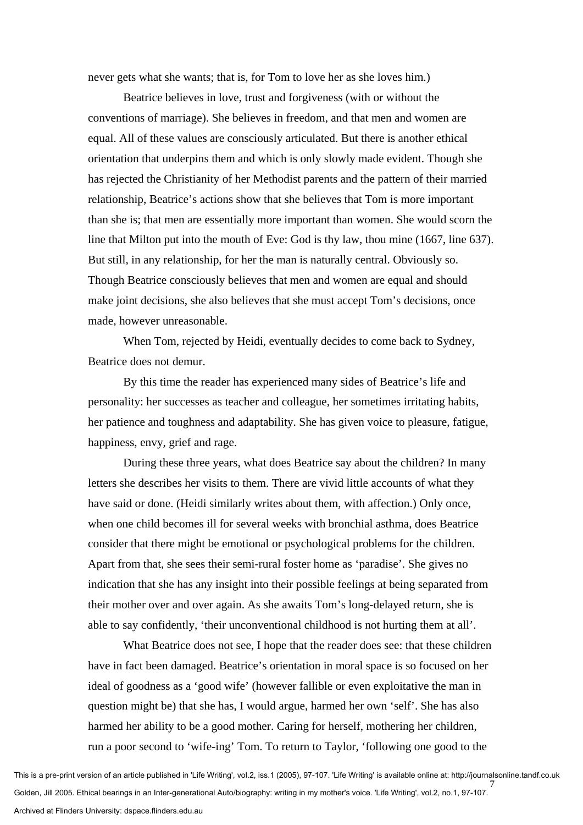never gets what she wants; that is, for Tom to love her as she loves him.)

Beatrice believes in love, trust and forgiveness (with or without the conventions of marriage). She believes in freedom, and that men and women are equal. All of these values are consciously articulated. But there is another ethical orientation that underpins them and which is only slowly made evident. Though she has rejected the Christianity of her Methodist parents and the pattern of their married relationship, Beatrice's actions show that she believes that Tom is more important than she is; that men are essentially more important than women. She would scorn the line that Milton put into the mouth of Eve: God is thy law, thou mine (1667, line 637). But still, in any relationship, for her the man is naturally central. Obviously so. Though Beatrice consciously believes that men and women are equal and should make joint decisions, she also believes that she must accept Tom's decisions, once made, however unreasonable.

When Tom, rejected by Heidi, eventually decides to come back to Sydney, Beatrice does not demur.

By this time the reader has experienced many sides of Beatrice's life and personality: her successes as teacher and colleague, her sometimes irritating habits, her patience and toughness and adaptability. She has given voice to pleasure, fatigue, happiness, envy, grief and rage.

During these three years, what does Beatrice say about the children? In many letters she describes her visits to them. There are vivid little accounts of what they have said or done. (Heidi similarly writes about them, with affection.) Only once, when one child becomes ill for several weeks with bronchial asthma, does Beatrice consider that there might be emotional or psychological problems for the children. Apart from that, she sees their semi-rural foster home as 'paradise'. She gives no indication that she has any insight into their possible feelings at being separated from their mother over and over again. As she awaits Tom's long-delayed return, she is able to say confidently, 'their unconventional childhood is not hurting them at all'.

What Beatrice does not see, I hope that the reader does see: that these children have in fact been damaged. Beatrice's orientation in moral space is so focused on her ideal of goodness as a 'good wife' (however fallible or even exploitative the man in question might be) that she has, I would argue, harmed her own 'self'. She has also harmed her ability to be a good mother. Caring for herself, mothering her children, run a poor second to 'wife-ing' Tom. To return to Taylor, 'following one good to the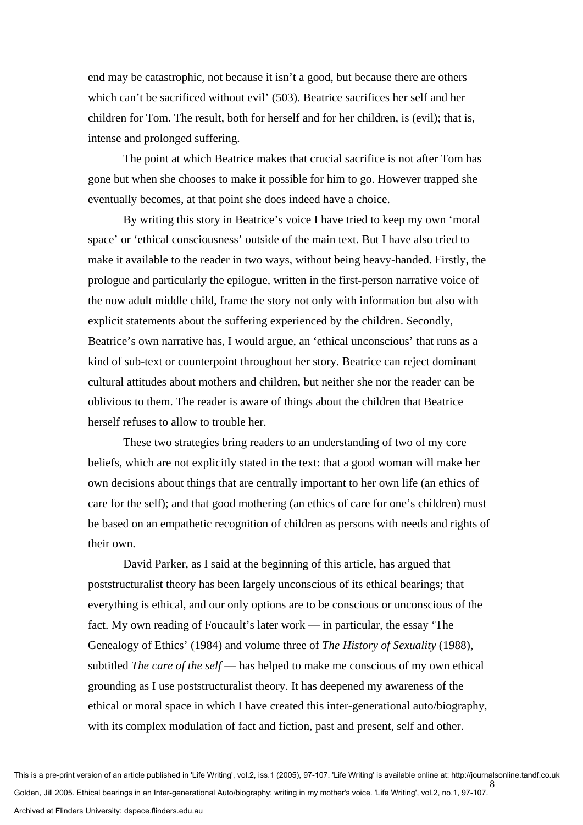end may be catastrophic, not because it isn't a good, but because there are others which can't be sacrificed without evil' (503). Beatrice sacrifices her self and her children for Tom. The result, both for herself and for her children, is (evil); that is, intense and prolonged suffering.

The point at which Beatrice makes that crucial sacrifice is not after Tom has gone but when she chooses to make it possible for him to go. However trapped she eventually becomes, at that point she does indeed have a choice.

By writing this story in Beatrice's voice I have tried to keep my own 'moral space' or 'ethical consciousness' outside of the main text. But I have also tried to make it available to the reader in two ways, without being heavy-handed. Firstly, the prologue and particularly the epilogue, written in the first-person narrative voice of the now adult middle child, frame the story not only with information but also with explicit statements about the suffering experienced by the children. Secondly, Beatrice's own narrative has, I would argue, an 'ethical unconscious' that runs as a kind of sub-text or counterpoint throughout her story. Beatrice can reject dominant cultural attitudes about mothers and children, but neither she nor the reader can be oblivious to them. The reader is aware of things about the children that Beatrice herself refuses to allow to trouble her.

These two strategies bring readers to an understanding of two of my core beliefs, which are not explicitly stated in the text: that a good woman will make her own decisions about things that are centrally important to her own life (an ethics of care for the self); and that good mothering (an ethics of care for one's children) must be based on an empathetic recognition of children as persons with needs and rights of their own.

David Parker, as I said at the beginning of this article, has argued that poststructuralist theory has been largely unconscious of its ethical bearings; that everything is ethical, and our only options are to be conscious or unconscious of the fact. My own reading of Foucault's later work — in particular, the essay 'The Genealogy of Ethics' (1984) and volume three of *The History of Sexuality* (1988), subtitled *The care of the self* — has helped to make me conscious of my own ethical grounding as I use poststructuralist theory. It has deepened my awareness of the ethical or moral space in which I have created this inter-generational auto/biography, with its complex modulation of fact and fiction, past and present, self and other.